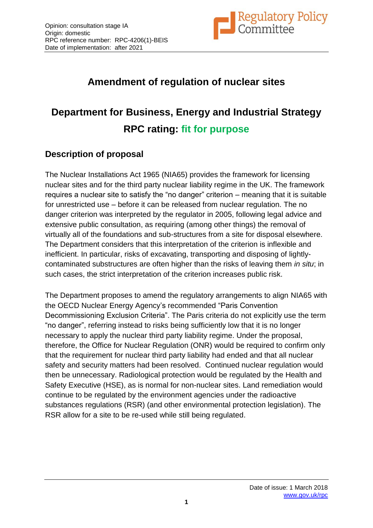

# **Amendment of regulation of nuclear sites**

# **Department for Business, Energy and Industrial Strategy RPC rating: fit for purpose**

## **Description of proposal**

The Nuclear Installations Act 1965 (NIA65) provides the framework for licensing nuclear sites and for the third party nuclear liability regime in the UK. The framework requires a nuclear site to satisfy the "no danger" criterion – meaning that it is suitable for unrestricted use – before it can be released from nuclear regulation. The no danger criterion was interpreted by the regulator in 2005, following legal advice and extensive public consultation, as requiring (among other things) the removal of virtually all of the foundations and sub-structures from a site for disposal elsewhere. The Department considers that this interpretation of the criterion is inflexible and inefficient. In particular, risks of excavating, transporting and disposing of lightlycontaminated substructures are often higher than the risks of leaving them *in situ*; in such cases, the strict interpretation of the criterion increases public risk.

The Department proposes to amend the regulatory arrangements to align NIA65 with the OECD Nuclear Energy Agency's recommended "Paris Convention Decommissioning Exclusion Criteria". The Paris criteria do not explicitly use the term "no danger", referring instead to risks being sufficiently low that it is no longer necessary to apply the nuclear third party liability regime. Under the proposal, therefore, the Office for Nuclear Regulation (ONR) would be required to confirm only that the requirement for nuclear third party liability had ended and that all nuclear safety and security matters had been resolved. Continued nuclear regulation would then be unnecessary. Radiological protection would be regulated by the Health and Safety Executive (HSE), as is normal for non-nuclear sites. Land remediation would continue to be regulated by the environment agencies under the radioactive substances regulations (RSR) (and other environmental protection legislation). The RSR allow for a site to be re-used while still being regulated.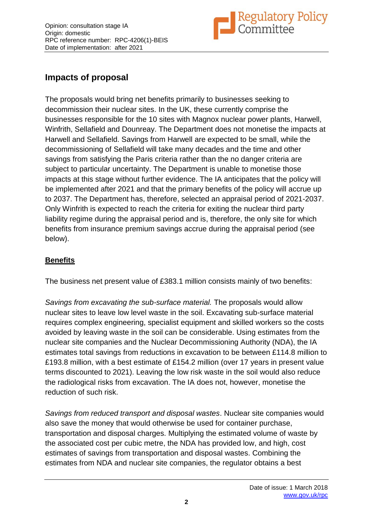

## **Impacts of proposal**

The proposals would bring net benefits primarily to businesses seeking to decommission their nuclear sites. In the UK, these currently comprise the businesses responsible for the 10 sites with Magnox nuclear power plants, Harwell, Winfrith, Sellafield and Dounreay. The Department does not monetise the impacts at Harwell and Sellafield. Savings from Harwell are expected to be small, while the decommissioning of Sellafield will take many decades and the time and other savings from satisfying the Paris criteria rather than the no danger criteria are subject to particular uncertainty. The Department is unable to monetise those impacts at this stage without further evidence. The IA anticipates that the policy will be implemented after 2021 and that the primary benefits of the policy will accrue up to 2037. The Department has, therefore, selected an appraisal period of 2021-2037. Only Winfrith is expected to reach the criteria for exiting the nuclear third party liability regime during the appraisal period and is, therefore, the only site for which benefits from insurance premium savings accrue during the appraisal period (see below).

#### **Benefits**

The business net present value of £383.1 million consists mainly of two benefits:

*Savings from excavating the sub-surface material.* The proposals would allow nuclear sites to leave low level waste in the soil. Excavating sub-surface material requires complex engineering, specialist equipment and skilled workers so the costs avoided by leaving waste in the soil can be considerable. Using estimates from the nuclear site companies and the Nuclear Decommissioning Authority (NDA), the IA estimates total savings from reductions in excavation to be between £114.8 million to £193.8 million, with a best estimate of £154.2 million (over 17 years in present value terms discounted to 2021). Leaving the low risk waste in the soil would also reduce the radiological risks from excavation. The IA does not, however, monetise the reduction of such risk.

*Savings from reduced transport and disposal wastes*. Nuclear site companies would also save the money that would otherwise be used for container purchase, transportation and disposal charges. Multiplying the estimated volume of waste by the associated cost per cubic metre, the NDA has provided low, and high, cost estimates of savings from transportation and disposal wastes. Combining the estimates from NDA and nuclear site companies, the regulator obtains a best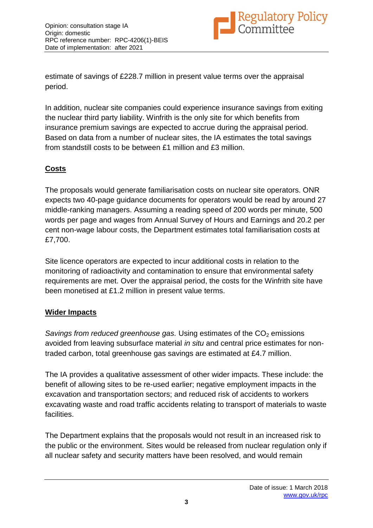

estimate of savings of £228.7 million in present value terms over the appraisal period.

In addition, nuclear site companies could experience insurance savings from exiting the nuclear third party liability. Winfrith is the only site for which benefits from insurance premium savings are expected to accrue during the appraisal period. Based on data from a number of nuclear sites, the IA estimates the total savings from standstill costs to be between £1 million and £3 million.

## **Costs**

The proposals would generate familiarisation costs on nuclear site operators. ONR expects two 40-page guidance documents for operators would be read by around 27 middle-ranking managers. Assuming a reading speed of 200 words per minute, 500 words per page and wages from Annual Survey of Hours and Earnings and 20.2 per cent non-wage labour costs, the Department estimates total familiarisation costs at £7,700.

Site licence operators are expected to incur additional costs in relation to the monitoring of radioactivity and contamination to ensure that environmental safety requirements are met. Over the appraisal period, the costs for the Winfrith site have been monetised at £1.2 million in present value terms.

### **Wider Impacts**

*Savings from reduced greenhouse gas.* Using estimates of the CO<sub>2</sub> emissions avoided from leaving subsurface material *in situ* and central price estimates for nontraded carbon, total greenhouse gas savings are estimated at £4.7 million.

The IA provides a qualitative assessment of other wider impacts. These include: the benefit of allowing sites to be re-used earlier; negative employment impacts in the excavation and transportation sectors; and reduced risk of accidents to workers excavating waste and road traffic accidents relating to transport of materials to waste facilities.

The Department explains that the proposals would not result in an increased risk to the public or the environment. Sites would be released from nuclear regulation only if all nuclear safety and security matters have been resolved, and would remain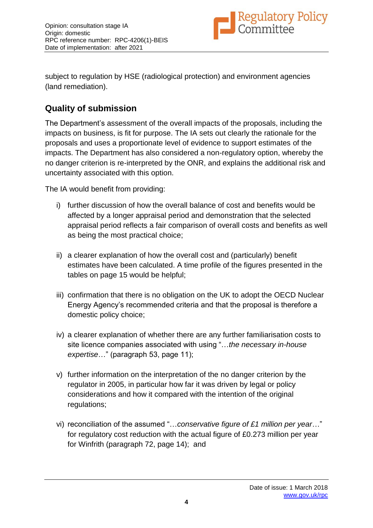

subject to regulation by HSE (radiological protection) and environment agencies (land remediation).

## **Quality of submission**

The Department's assessment of the overall impacts of the proposals, including the impacts on business, is fit for purpose. The IA sets out clearly the rationale for the proposals and uses a proportionate level of evidence to support estimates of the impacts. The Department has also considered a non-regulatory option, whereby the no danger criterion is re-interpreted by the ONR, and explains the additional risk and uncertainty associated with this option.

The IA would benefit from providing:

- i) further discussion of how the overall balance of cost and benefits would be affected by a longer appraisal period and demonstration that the selected appraisal period reflects a fair comparison of overall costs and benefits as well as being the most practical choice;
- ii) a clearer explanation of how the overall cost and (particularly) benefit estimates have been calculated. A time profile of the figures presented in the tables on page 15 would be helpful;
- iii) confirmation that there is no obligation on the UK to adopt the OECD Nuclear Energy Agency's recommended criteria and that the proposal is therefore a domestic policy choice;
- iv) a clearer explanation of whether there are any further familiarisation costs to site licence companies associated with using "…*the necessary in-house expertise*…" (paragraph 53, page 11);
- v) further information on the interpretation of the no danger criterion by the regulator in 2005, in particular how far it was driven by legal or policy considerations and how it compared with the intention of the original regulations;
- vi) reconciliation of the assumed "…*conservative figure of £1 million per year*…" for regulatory cost reduction with the actual figure of £0.273 million per year for Winfrith (paragraph 72, page 14); and